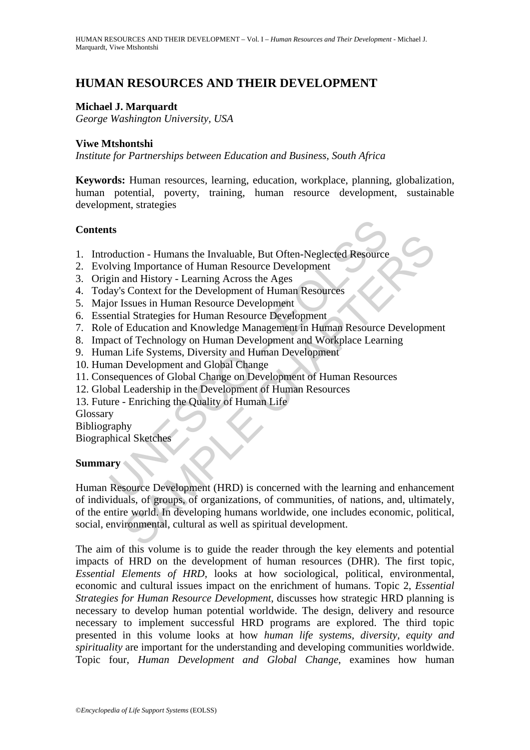# **HUMAN RESOURCES AND THEIR DEVELOPMENT**

## **Michael J. Marquardt**

*George Washington University, USA* 

#### **Viwe Mtshontshi**

*Institute for Partnerships between Education and Business, South Africa* 

**Keywords:** Human resources, learning, education, workplace, planning, globalization, human potential, poverty, training, human resource development, sustainable development, strategies

### **Contents**

- 1. Introduction Humans the Invaluable, But Often-Neglected Resource
- 2. Evolving Importance of Human Resource Development
- 3. Origin and History Learning Across the Ages
- 4. Today's Context for the Development of Human Resources
- 5. Major Issues in Human Resource Development
- 6. Essential Strategies for Human Resource Development
- 7. Role of Education and Knowledge Management in Human Resource Development
- 8. Impact of Technology on Human Development and Workplace Learning
- 9. Human Life Systems, Diversity and Human Development
- 10. Human Development and Global Change
- 11. Consequences of Global Change on Development of Human Resources
- 12. Global Leadership in the Development of Human Resources
- 13. Future Enriching the Quality of Human Life

**Glossary** 

Bibliography

Biographical Sketches

#### **Summary**

ts<br>
soluction - Humans the Invaluable, But Often-Neglected Resource<br>
lying Importance of Human Resource Development<br>
say's Context for the Development of Human Resource<br>
say's Context for the Development of Human Resource<br> ction - Humans the Invaluable, But Often-Neglected Resource<br>
Ig Importance of Human Resource Development<br>
and History - Learning Across the Ages<br>
SContext for the Development of Human Resource<br>
SISSENCS SESUES for Human Re Human Resource Development (HRD) is concerned with the learning and enhancement of individuals, of groups, of organizations, of communities, of nations, and, ultimately, of the entire world. In developing humans worldwide, one includes economic, political, social, environmental, cultural as well as spiritual development.

The aim of this volume is to guide the reader through the key elements and potential impacts of HRD on the development of human resources (DHR). The first topic*, Essential Elements of HRD*, looks at how sociological, political, environmental, economic and cultural issues impact on the enrichment of humans. Topic 2, *Essential Strategies for Human Resource Development*, discusses how strategic HRD planning is necessary to develop human potential worldwide. The design, delivery and resource necessary to implement successful HRD programs are explored. The third topic presented in this volume looks at how *human life systems, diversity, equity and spirituality* are important for the understanding and developing communities worldwide. Topic four, *Human Development and Global Change*, examines how human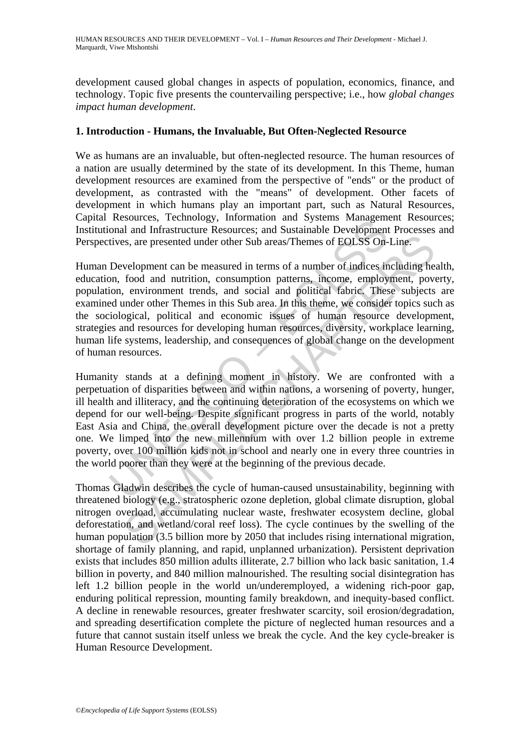development caused global changes in aspects of population, economics, finance, and technology. Topic five presents the countervailing perspective; i.e., how *global changes impact human development*.

### **1. Introduction - Humans, the Invaluable, But Often-Neglected Resource**

We as humans are an invaluable, but often-neglected resource. The human resources of a nation are usually determined by the state of its development. In this Theme, human development resources are examined from the perspective of "ends" or the product of development, as contrasted with the "means" of development. Other facets of development in which humans play an important part, such as Natural Resources, Capital Resources, Technology, Information and Systems Management Resources; Institutional and Infrastructure Resources; and Sustainable Development Processes and Perspectives, are presented under other Sub areas/Themes of EOLSS On-Line.

Human Development can be measured in terms of a number of indices including health, education, food and nutrition, consumption patterns, income, employment, poverty, population, environment trends, and social and political fabric. These subjects are examined under other Themes in this Sub area. In this theme, we consider topics such as the sociological, political and economic issues of human resource development, strategies and resources for developing human resources, diversity, workplace learning, human life systems, leadership, and consequences of global change on the development of human resources.

Nesources, recultingly, information and Systems Maragement<br>and and Infrastructure Resources; and Sustainable Development<br>tives, are presented under other Sub areas/Themes of EOLSS On-<br>Development can be measured in terms o is, are presented under other Sub areas/Themes of EOLSS On-Line.<br>
se, are presented under other Sub areas/Themes of EOLSS On-Line.<br>
velopment can be measured in terms of a number of indices including he<br>
food and nutrition Humanity stands at a defining moment in history. We are confronted with a perpetuation of disparities between and within nations, a worsening of poverty, hunger, ill health and illiteracy, and the continuing deterioration of the ecosystems on which we depend for our well-being. Despite significant progress in parts of the world, notably East Asia and China, the overall development picture over the decade is not a pretty one. We limped into the new millennium with over 1.2 billion people in extreme poverty, over 100 million kids not in school and nearly one in every three countries in the world poorer than they were at the beginning of the previous decade.

Thomas Gladwin describes the cycle of human-caused unsustainability, beginning with threatened biology (e.g., stratospheric ozone depletion, global climate disruption, global nitrogen overload, accumulating nuclear waste, freshwater ecosystem decline, global deforestation, and wetland/coral reef loss). The cycle continues by the swelling of the human population (3.5 billion more by 2050 that includes rising international migration, shortage of family planning, and rapid, unplanned urbanization). Persistent deprivation exists that includes 850 million adults illiterate, 2.7 billion who lack basic sanitation, 1.4 billion in poverty, and 840 million malnourished. The resulting social disintegration has left 1.2 billion people in the world un/underemployed, a widening rich-poor gap, enduring political repression, mounting family breakdown, and inequity-based conflict. A decline in renewable resources, greater freshwater scarcity, soil erosion/degradation, and spreading desertification complete the picture of neglected human resources and a future that cannot sustain itself unless we break the cycle. And the key cycle-breaker is Human Resource Development.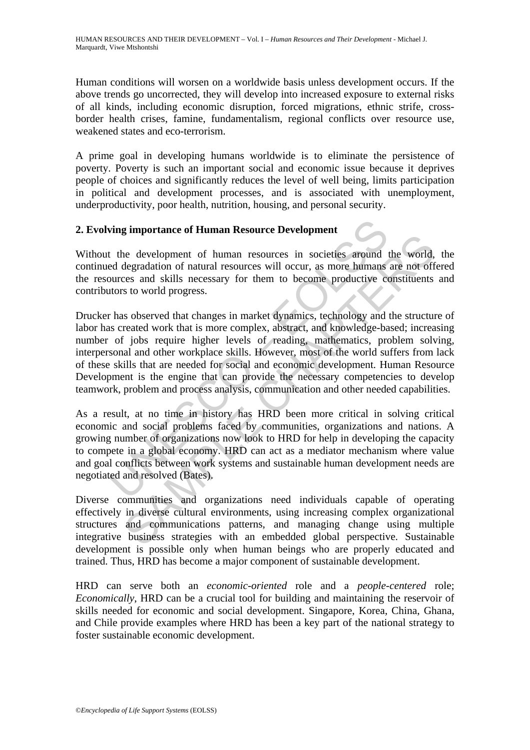Human conditions will worsen on a worldwide basis unless development occurs. If the above trends go uncorrected, they will develop into increased exposure to external risks of all kinds, including economic disruption, forced migrations, ethnic strife, crossborder health crises, famine, fundamentalism, regional conflicts over resource use, weakened states and eco-terrorism.

A prime goal in developing humans worldwide is to eliminate the persistence of poverty. Poverty is such an important social and economic issue because it deprives people of choices and significantly reduces the level of well being, limits participation in political and development processes, and is associated with unemployment, underproductivity, poor health, nutrition, housing, and personal security.

### **2. Evolving importance of Human Resource Development**

Without the development of human resources in societies around the world, the continued degradation of natural resources will occur, as more humans are not offered the resources and skills necessary for them to become productive constituents and contributors to world progress.

**Example 12** in development<br>
the development of human resource Development<br>
the development of human resources in societies around<br>
ed degradation of natural resources will occur, as more humans<br>
surces and skills necessar net development of human resources in societies around the world,<br>degradation of natural resources will occur, as more humans are not off<br>degradation of natural resources will occur, as more humans are not off<br>recess and s Drucker has observed that changes in market dynamics, technology and the structure of labor has created work that is more complex, abstract, and knowledge-based; increasing number of jobs require higher levels of reading, mathematics, problem solving, interpersonal and other workplace skills. However, most of the world suffers from lack of these skills that are needed for social and economic development. Human Resource Development is the engine that can provide the necessary competencies to develop teamwork, problem and process analysis, communication and other needed capabilities.

As a result, at no time in history has HRD been more critical in solving critical economic and social problems faced by communities, organizations and nations. A growing number of organizations now look to HRD for help in developing the capacity to compete in a global economy. HRD can act as a mediator mechanism where value and goal conflicts between work systems and sustainable human development needs are negotiated and resolved (Bates).

Diverse communities and organizations need individuals capable of operating effectively in diverse cultural environments, using increasing complex organizational structures and communications patterns, and managing change using multiple integrative business strategies with an embedded global perspective. Sustainable development is possible only when human beings who are properly educated and trained. Thus, HRD has become a major component of sustainable development.

HRD can serve both an *economic-oriented* role and a *people-centered* role; *Economically*, HRD can be a crucial tool for building and maintaining the reservoir of skills needed for economic and social development. Singapore, Korea, China, Ghana, and Chile provide examples where HRD has been a key part of the national strategy to foster sustainable economic development.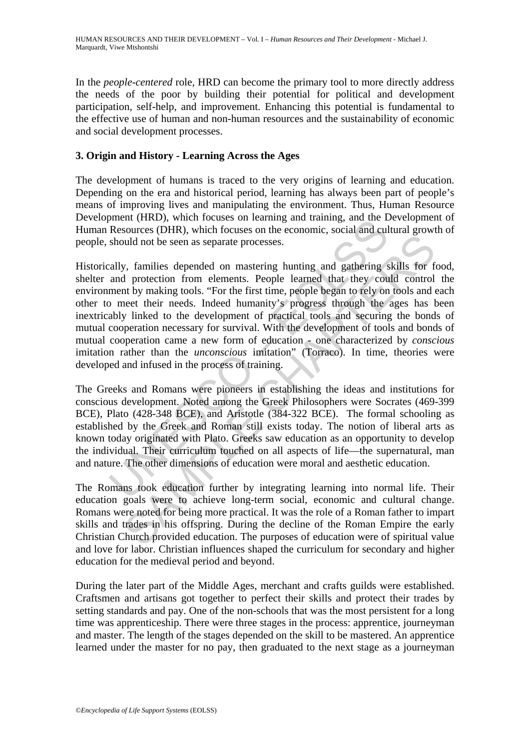In the *people-centered* role*,* HRD can become the primary tool to more directly address the needs of the poor by building their potential for political and development participation, self-help, and improvement. Enhancing this potential is fundamental to the effective use of human and non-human resources and the sustainability of economic and social development processes.

# **3. Origin and History - Learning Across the Ages**

The development of humans is traced to the very origins of learning and education. Depending on the era and historical period, learning has always been part of people's means of improving lives and manipulating the environment. Thus, Human Resource Development (HRD), which focuses on learning and training, and the Development of Human Resources (DHR), which focuses on the economic, social and cultural growth of people, should not be seen as separate processes.

ment (IRD), which focuses on teaming and training, and the L<br>Resources (DHR), which focuses on the economic, social and cul<br>should not be seen as separate processes.<br>ally, families depended on mastering hunting and gatheri by families depended on mastering hunting and gathering skills for families depended on mastering hunting and gathering skills for families depended on mastering hunting and gathering skills for families depended on master Historically, families depended on mastering hunting and gathering skills for food, shelter and protection from elements. People learned that they could control the environment by making tools. "For the first time, people began to rely on tools and each other to meet their needs. Indeed humanity's progress through the ages has been inextricably linked to the development of practical tools and securing the bonds of mutual cooperation necessary for survival. With the development of tools and bonds of mutual cooperation came a new form of education - one characterized by *conscious*  imitation rather than the *unconscious* imitation" (Torraco). In time, theories were developed and infused in the process of training.

The Greeks and Romans were pioneers in establishing the ideas and institutions for conscious development. Noted among the Greek Philosophers were Socrates (469-399 BCE), Plato (428-348 BCE), and Aristotle (384-322 BCE). The formal schooling as established by the Greek and Roman still exists today. The notion of liberal arts as known today originated with Plato. Greeks saw education as an opportunity to develop the individual. Their curriculum touched on all aspects of life—the supernatural, man and nature. The other dimensions of education were moral and aesthetic education.

The Romans took education further by integrating learning into normal life. Their education goals were to achieve long-term social, economic and cultural change. Romans were noted for being more practical. It was the role of a Roman father to impart skills and trades in his offspring. During the decline of the Roman Empire the early Christian Church provided education. The purposes of education were of spiritual value and love for labor. Christian influences shaped the curriculum for secondary and higher education for the medieval period and beyond.

During the later part of the Middle Ages, merchant and crafts guilds were established. Craftsmen and artisans got together to perfect their skills and protect their trades by setting standards and pay. One of the non-schools that was the most persistent for a long time was apprenticeship. There were three stages in the process: apprentice, journeyman and master. The length of the stages depended on the skill to be mastered. An apprentice learned under the master for no pay, then graduated to the next stage as a journeyman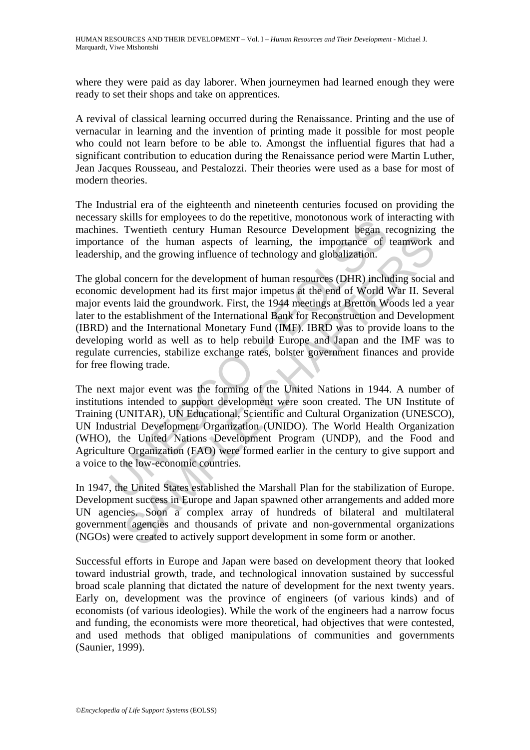where they were paid as day laborer. When journeymen had learned enough they were ready to set their shops and take on apprentices.

A revival of classical learning occurred during the Renaissance. Printing and the use of vernacular in learning and the invention of printing made it possible for most people who could not learn before to be able to. Amongst the influential figures that had a significant contribution to education during the Renaissance period were Martin Luther, Jean Jacques Rousseau, and Pestalozzi. Their theories were used as a base for most of modern theories.

The Industrial era of the eighteenth and nineteenth centuries focused on providing the necessary skills for employees to do the repetitive, monotonous work of interacting with machines. Twentieth century Human Resource Development began recognizing the importance of the human aspects of learning, the importance of teamwork and leadership, and the growing influence of technology and globalization.

ry solito entiry Human Resource Development began resource of the electronic world or the electronic system. The mean approximation and the growing influence of learning, the importance of the human appects of learning, th or of the human aspects of learning, the importance of teamwork<br>and the growing influence of teamwork and the growing influence of technology and globalization.<br>Concern for the development of human resources (DHR) includin The global concern for the development of human resources (DHR) including social and economic development had its first major impetus at the end of World War II. Several major events laid the groundwork. First, the 1944 meetings at Bretton Woods led a year later to the establishment of the International Bank for Reconstruction and Development (IBRD) and the International Monetary Fund (IMF). IBRD was to provide loans to the developing world as well as to help rebuild Europe and Japan and the IMF was to regulate currencies, stabilize exchange rates, bolster government finances and provide for free flowing trade.

The next major event was the forming of the United Nations in 1944. A number of institutions intended to support development were soon created. The UN Institute of Training (UNITAR), UN Educational, Scientific and Cultural Organization (UNESCO), UN Industrial Development Organization (UNIDO). The World Health Organization (WHO), the United Nations Development Program (UNDP), and the Food and Agriculture Organization (FAO) were formed earlier in the century to give support and a voice to the low-economic countries.

In 1947, the United States established the Marshall Plan for the stabilization of Europe. Development success in Europe and Japan spawned other arrangements and added more UN agencies. Soon a complex array of hundreds of bilateral and multilateral government agencies and thousands of private and non-governmental organizations (NGOs) were created to actively support development in some form or another.

Successful efforts in Europe and Japan were based on development theory that looked toward industrial growth, trade, and technological innovation sustained by successful broad scale planning that dictated the nature of development for the next twenty years. Early on, development was the province of engineers (of various kinds) and of economists (of various ideologies). While the work of the engineers had a narrow focus and funding, the economists were more theoretical, had objectives that were contested, and used methods that obliged manipulations of communities and governments (Saunier, 1999).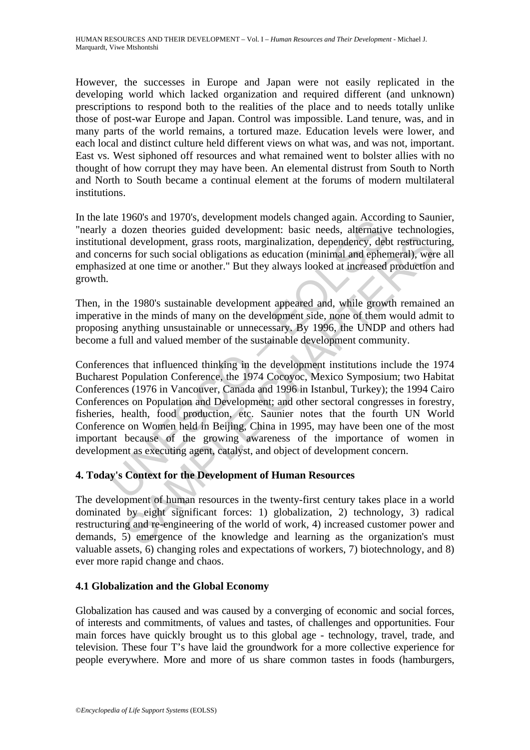However, the successes in Europe and Japan were not easily replicated in the developing world which lacked organization and required different (and unknown) prescriptions to respond both to the realities of the place and to needs totally unlike those of post-war Europe and Japan. Control was impossible. Land tenure, was, and in many parts of the world remains, a tortured maze. Education levels were lower, and each local and distinct culture held different views on what was, and was not, important. East vs. West siphoned off resources and what remained went to bolster allies with no thought of how corrupt they may have been. An elemental distrust from South to North and North to South became a continual element at the forums of modern multilateral institutions.

In the late 1960's and 1970's, development models changed again. According to Saunier, "nearly a dozen theories guided development: basic needs, alternative technologies, institutional development, grass roots, marginalization, dependency, debt restructuring, and concerns for such social obligations as education (minimal and ephemeral), were all emphasized at one time or another." But they always looked at increased production and growth.

Then, in the 1980's sustainable development appeared and, while growth remained an imperative in the minds of many on the development side, none of them would admit to proposing anything unsustainable or unnecessary. By 1996, the UNDP and others had become a full and valued member of the sustainable development community.

and 1970s, are verophenent induces changed again. Accordinate in a dozen theories guided development: basic needs, alternativonal development, grass roots, marginalization, dependency, deb cerns for such social obligations If development, grass roots, marginalization, dependency, debt restructums for such social obligations as education (minimal and ephemeral), were at one time or another." But they always looked at increased production as t Conferences that influenced thinking in the development institutions include the 1974 Bucharest Population Conference, the 1974 Cocoyoc, Mexico Symposium; two Habitat Conferences (1976 in Vancouver, Canada and 1996 in Istanbul, Turkey); the 1994 Cairo Conferences on Population and Development; and other sectoral congresses in forestry, fisheries, health, food production, etc. Saunier notes that the fourth UN World Conference on Women held in Beijing, China in 1995, may have been one of the most important because of the growing awareness of the importance of women in development as executing agent, catalyst, and object of development concern.

# **4. Today's Context for the Development of Human Resources**

The development of human resources in the twenty-first century takes place in a world dominated by eight significant forces: 1) globalization, 2) technology, 3) radical restructuring and re-engineering of the world of work, 4) increased customer power and demands, 5) emergence of the knowledge and learning as the organization's must valuable assets, 6) changing roles and expectations of workers, 7) biotechnology, and 8) ever more rapid change and chaos.

# **4.1 Globalization and the Global Economy**

Globalization has caused and was caused by a converging of economic and social forces, of interests and commitments, of values and tastes, of challenges and opportunities. Four main forces have quickly brought us to this global age - technology, travel, trade, and television. These four T's have laid the groundwork for a more collective experience for people everywhere. More and more of us share common tastes in foods (hamburgers,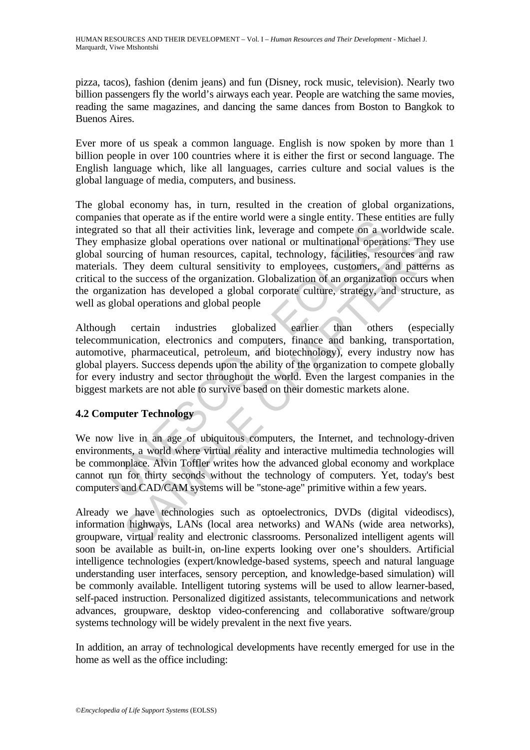pizza, tacos), fashion (denim jeans) and fun (Disney, rock music, television). Nearly two billion passengers fly the world's airways each year. People are watching the same movies, reading the same magazines, and dancing the same dances from Boston to Bangkok to Buenos Aires.

Ever more of us speak a common language. English is now spoken by more than 1 billion people in over 100 countries where it is either the first or second language. The English language which, like all languages, carries culture and social values is the global language of media, computers, and business.

es that operate as it in entities with the et single entity. These est as the distant and their activities link, leverage and compete on a wephasize global operations over national or multinational operatiouring of human r ansize global operations over national or multinational operations. They there in a statistic global operations over national or multinational operations. They deem cultural sensitivity to employes, customes, and pattern t The global economy has, in turn, resulted in the creation of global organizations, companies that operate as if the entire world were a single entity. These entities are fully integrated so that all their activities link, leverage and compete on a worldwide scale. They emphasize global operations over national or multinational operations. They use global sourcing of human resources, capital, technology, facilities, resources and raw materials. They deem cultural sensitivity to employees, customers, and patterns as critical to the success of the organization. Globalization of an organization occurs when the organization has developed a global corporate culture, strategy, and structure, as well as global operations and global people

Although certain industries globalized earlier than others (especially telecommunication, electronics and computers, finance and banking, transportation, automotive, pharmaceutical, petroleum, and biotechnology), every industry now has global players. Success depends upon the ability of the organization to compete globally for every industry and sector throughout the world. Even the largest companies in the biggest markets are not able to survive based on their domestic markets alone.

# **4.2 Computer Technology**

We now live in an age of ubiquitous computers, the Internet, and technology-driven environments, a world where virtual reality and interactive multimedia technologies will be commonplace. Alvin Toffler writes how the advanced global economy and workplace cannot run for thirty seconds without the technology of computers. Yet, today's best computers and CAD/CAM systems will be "stone-age" primitive within a few years.

Already we have technologies such as optoelectronics, DVDs (digital videodiscs), information highways, LANs (local area networks) and WANs (wide area networks), groupware, virtual reality and electronic classrooms. Personalized intelligent agents will soon be available as built-in, on-line experts looking over one's shoulders. Artificial intelligence technologies (expert/knowledge-based systems, speech and natural language understanding user interfaces, sensory perception, and knowledge-based simulation) will be commonly available. Intelligent tutoring systems will be used to allow learner-based, self-paced instruction. Personalized digitized assistants, telecommunications and network advances, groupware, desktop video-conferencing and collaborative software/group systems technology will be widely prevalent in the next five years.

In addition, an array of technological developments have recently emerged for use in the home as well as the office including: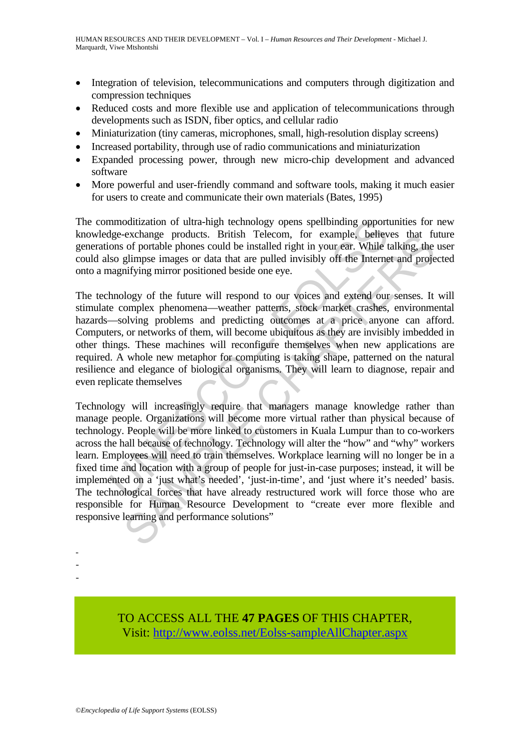- Integration of television, telecommunications and computers through digitization and compression techniques
- Reduced costs and more flexible use and application of telecommunications through developments such as ISDN, fiber optics, and cellular radio
- Miniaturization (tiny cameras, microphones, small, high-resolution display screens)
- Increased portability, through use of radio communications and miniaturization
- Expanded processing power, through new micro-chip development and advanced software
- More powerful and user-friendly command and software tools, making it much easier for users to create and communicate their own materials (Bates, 1995)

The commoditization of ultra-high technology opens spellbinding opportunities for new knowledge-exchange products. British Telecom, for example, believes that future generations of portable phones could be installed right in your ear. While talking, the user could also glimpse images or data that are pulled invisibly off the Internet and projected onto a magnifying mirror positioned beside one eye.

The technology of the future will respond to our voices and extend our senses. It will stimulate complex phenomena—weather patterns, stock market crashes, environmental hazards—solving problems and predicting outcomes at a price anyone can afford. Computers, or networks of them, will become ubiquitous as they are invisibly imbedded in other things. These machines will reconfigure themselves when new applications are required. A whole new metaphor for computing is taking shape, patterned on the natural resilience and elegance of biological organisms. They will learn to diagnose, repair and even replicate themselves

moditization of ultra-high technology opens spellbinding opport<br>lge-exchange products. British Telecom, for example, believe ons of portable phones could be installed right in your ear. While the siso solimpse images or da exchange products. British 1elecom, for example, beneves that to<br>c of portable phones could be installed right in your ear. While laking, the<br>glimpse images or data that are pulled invisibly off the Internet and proje<br>glim Technology will increasingly require that managers manage knowledge rather than manage people. Organizations will become more virtual rather than physical because of technology. People will be more linked to customers in Kuala Lumpur than to co-workers across the hall because of technology. Technology will alter the "how" and "why" workers learn. Employees will need to train themselves. Workplace learning will no longer be in a fixed time and location with a group of people for just-in-case purposes; instead, it will be implemented on a 'just what's needed', 'just-in-time', and 'just where it's needed' basis. The technological forces that have already restructured work will force those who are responsible for Human Resource Development to "create ever more flexible and responsive learning and performance solutions"

> TO ACCESS ALL THE **47 PAGES** OF THIS CHAPTER, Visit[: http://www.eolss.net/Eolss-sampleAllChapter.aspx](https://www.eolss.net/ebooklib/sc_cart.aspx?File=E1-10-00-00)

- - -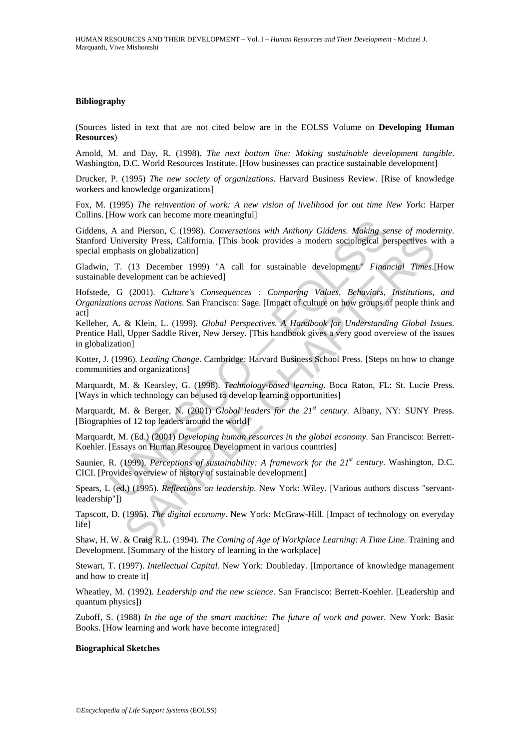#### **Bibliography**

(Sources listed in text that are not cited below are in the EOLSS Volume on **Developing Human Resources**)

Arnold, M. and Day, R. (1998). *The next bottom line: Making sustainable development tangible*. Washington, D.C. World Resources Institute. [How businesses can practice sustainable development]

Drucker, P. (1995) *The new society of organizations*. Harvard Business Review. [Rise of knowledge workers and knowledge organizations]

Fox, M. (1995) *The reinvention of work: A new vision of livelihood for out time New Yor*k: Harper Collins. [How work can become more meaningful]

Giddens, A and Pierson, C (1998). *Conversations with Anthony Giddens. Making sense of modernity*. Stanford University Press, California. [This book provides a modern sociological perspectives with a special emphasis on globalization]

Gladwin, T. (13 December 1999) "A call for sustainable development." *Financial Times*.[How sustainable development can be achieved]

Hofstede, G (2001). *Culture's Consequences : Comparing Values, Behaviors, Institutions, and Organizations across Nations*. San Francisco: Sage. [Impact of culture on how groups of people think and act]

A and Pierson, C (1998). *Conversations with Anthony Giddens. Making se* University Press, California. [This book provides a modern sociological perphasis on globalization]<br>
T. (13 December 1999) "A call for sustainable d Example and Structure (1998). The Universal of Machine School and Structure is the Chapter (1995). Registed perspectives were set of Dal for sustainable development." Financial Times. (18) December 1999) "A call for susta Kelleher, A. & Klein, L. (1999). *Global Perspectives. A Handbook for Understanding Global Issues*. Prentice Hall, Upper Saddle River, New Jersey. [This handbook gives a very good overview of the issues in globalization]

Kotter, J. (1996). *Leading Change*. Cambridge: Harvard Business School Press. [Steps on how to change communities and organizations]

Marquardt, M. & Kearsley, G. (1998). *Technology-based learning*. Boca Raton, FL: St. Lucie Press. [Ways in which technology can be used to develop learning opportunities]

Marquardt, M. & Berger, N. (2001) *Global leaders for the 21st century*. Albany, NY: SUNY Press. [Biographies of 12 top leaders around the world]

Marquardt, M. (Ed.) (2001) *Developing human resources in the global economy.* San Francisco: Berrett-Koehler. [Essays on Human Resource Development in various countries]

Saunier, R. (1999). *Perceptions of sustainability: A framework for the 21<sup>st</sup> century*. Washington, D.C. CICI. [Provides overview of history of sustainable development]

Spears, L (ed.) (1995). *Reflections on leadership*. New York: Wiley. [Various authors discuss "servantleadership"])

Tapscott, D. (1995). *The digital economy*. New York: McGraw-Hill. [Impact of technology on everyday life]

Shaw, H. W. & Craig R.L. (1994). *The Coming of Age of Workplace Learning: A Time Line.* Training and Development. [Summary of the history of learning in the workplace]

Stewart, T. (1997). *Intellectual Capital.* New York: Doubleday. [Importance of knowledge management and how to create it]

Wheatley, M. (1992). *Leadership and the new science*. San Francisco: Berrett-Koehler. [Leadership and quantum physics])

Zuboff, S. (1988) *In the age of the smart machine: The future of work and power.* New York: Basic Books. [How learning and work have become integrated]

#### **Biographical Sketches**